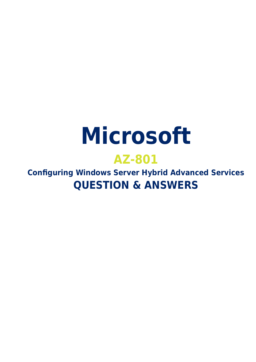# **Microsoft**

# **AZ-801**

**Configuring Windows Server Hybrid Advanced Services QUESTION & ANSWERS**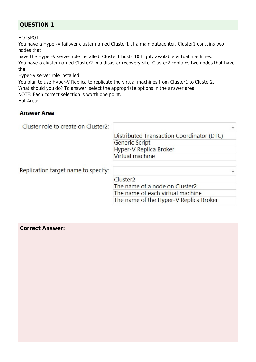# **QUESTION 1**

HOTSPOT

You have a Hyper-V failover cluster named Cluster1 at a main datacenter. Cluster1 contains two nodes that

have the Hyper-V server role installed. Cluster1 hosts 10 highly available virtual machines.

You have a cluster named Cluster2 in a disaster recovery site. Cluster2 contains two nodes that have the

Hyper-V server role installed.

You plan to use Hyper-V Replica to replicate the virtual machines from Cluster1 to Cluster2.

What should you do? To answer, select the appropriate options in the answer area.

NOTE: Each correct selection is worth one point.

Hot Area:

## **Answer Area**

| Cluster role to create on Cluster2: |                                           |
|-------------------------------------|-------------------------------------------|
|                                     | Distributed Transaction Coordinator (DTC) |
|                                     | <b>Generic Script</b>                     |
|                                     | Hyper-V Replica Broker                    |
|                                     | Virtual machine                           |
| Replication target name to specify: |                                           |
|                                     | Cluster <sub>2</sub>                      |
|                                     | The name of a node on Cluster2            |
|                                     | The name of each virtual machine          |
|                                     | The name of the Hyper-V Replica Broker    |

**Correct Answer:**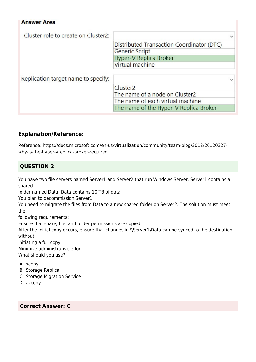#### **Answer Area**

| Cluster role to create on Cluster2: |                                           |  |
|-------------------------------------|-------------------------------------------|--|
|                                     | Distributed Transaction Coordinator (DTC) |  |
|                                     | Generic Script                            |  |
|                                     | Hyper-V Replica Broker                    |  |
|                                     | Virtual machine                           |  |
|                                     |                                           |  |
| Replication target name to specify: |                                           |  |
|                                     | Cluster <sub>2</sub>                      |  |
|                                     | The name of a node on Cluster2            |  |
|                                     | The name of each virtual machine          |  |
|                                     | The name of the Hyper-V Replica Broker    |  |

# **Explanation/Reference:**

Reference: https://docs.microsoft.com/en-us/virtualization/community/team-blog/2012/20120327 why-is-the-hyper-vreplica-broker-required

# **QUESTION 2**

You have two file servers named Server1 and Server2 that run Windows Server. Server1 contains a shared

folder named Data. Data contains 10 TB of data.

You plan to decommission Server1.

You need to migrate the files from Data to a new shared folder on Server2. The solution must meet the

following requirements:

Ensure that share, file, and folder permissions are copied.

After the initial copy occurs, ensure that changes in \\Server1\Data can be synced to the destination without

initiating a full copy.

Minimize administrative effort. What should you use?

A. xcopy

B. Storage Replica

- C. Storage Migration Service
- D. azcopy

#### **Correct Answer: C**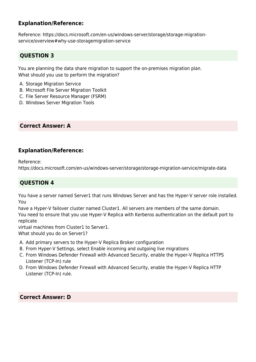# **Explanation/Reference:**

Reference: https://docs.microsoft.com/en-us/windows-server/storage/storage-migrationservice/overview#why-use-storagemigration-service

# **QUESTION 3**

You are planning the data share migration to support the on-premises migration plan. What should you use to perform the migration?

- A. Storage Migration Service
- B. Microsoft File Server Migration Toolkit
- C. File Server Resource Manager (FSRM)
- D. Windows Server Migration Tools

## **Correct Answer: A**

# **Explanation/Reference:**

Reference:

https://docs.microsoft.com/en-us/windows-server/storage/storage-migration-service/migrate-data

# **QUESTION 4**

You have a server named Server1 that runs Windows Server and has the Hyper-V server role installed. You

have a Hyper-V failover cluster named Cluster1. All servers are members of the same domain. You need to ensure that you use Hyper-V Replica with Kerberos authentication on the default port to replicate

virtual machines from Cluster1 to Server1.

What should you do on Server1?

- A. Add primary servers to the Hyper-V Replica Broker configuration
- B. From Hyper-V Settings, select Enable incoming and outgoing live migrations
- C. From Windows Defender Firewall with Advanced Security, enable the Hyper-V Replica HTTPS Listener (TCP-In) rule
- D. From Windows Defender Firewall with Advanced Security, enable the Hyper-V Replica HTTP Listener (TCP-In) rule.

## **Correct Answer: D**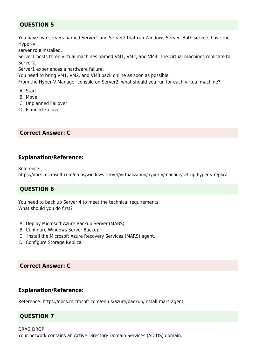# **QUESTION 5**

You have two servers named Server1 and Server2 that run Windows Server. Both servers have the Hyper-V

server role installed.

Server1 hosts three virtual machines named VM1, VM2, and VM3. The virtual machines replicate to Server2.

Server1 experiences a hardware failure.

You need to bring VM1, VM2, and VM3 back online as soon as possible.

From the Hyper-V Manager console on Server2, what should you run for each virtual machine?

- A. Start
- B. Move
- C. Unplanned Failover
- D. Planned Failover

#### **Correct Answer: C**

#### **Explanation/Reference:**

Reference:

https://docs.microsoft.com/en-us/windows-server/virtualization/hyper-v/manage/set-up-hyper-v-replica

## **QUESTION 6**

You need to back up Server 4 to meet the technical requirements. What should you do first?

- A. Deploy Microsoft Azure Backup Server (MABS).
- B. Configure Windows Server Backup.
- C. Install the Microsoft Azure Recovery Services (MARS) agent.
- D. Configure Storage Replica.

## **Correct Answer: C**

#### **Explanation/Reference:**

Reference: https://docs.microsoft.com/en-us/azure/backup/install-mars-agent

#### **QUESTION 7**

#### DRAG DROP Your network contains an Active Directory Domain Services (AD DS) domain.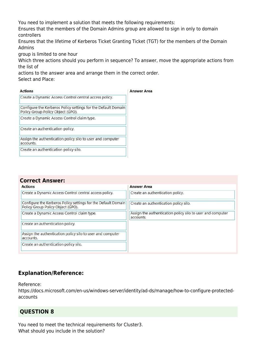You need to implement a solution that meets the following requirements:

Ensures that the members of the Domain Admins group are allowed to sign in only to domain controllers

Ensures that the lifetime of Kerberos Ticket Granting Ticket (TGT) for the members of the Domain Admins

group is limited to one hour

Which three actions should you perform in sequence? To answer, move the appropriate actions from the list of

actions to the answer area and arrange them in the correct order.

Select and Place:

| <b>Actions</b>                                                                                     | <b>Answer Area</b> |
|----------------------------------------------------------------------------------------------------|--------------------|
| Create a Dynamic Access Control central access policy.                                             |                    |
| Configure the Kerberos Policy settings for the Default Domain<br>Policy Group Policy Object (GPO). |                    |
| Create a Dynamic Access Control claim type.                                                        |                    |
| Create an authentication policy.                                                                   |                    |
| Assign the authentication policy silo to user and computer<br>accounts.                            |                    |
| Create an authentication policy silo.                                                              |                    |
|                                                                                                    |                    |

| <b>Correct Answer:</b>                                                                             |                                                                         |  |
|----------------------------------------------------------------------------------------------------|-------------------------------------------------------------------------|--|
| <b>Actions</b>                                                                                     | <b>Answer Area</b>                                                      |  |
| Create a Dynamic Access Control central access policy.                                             | Create an authentication policy.                                        |  |
| Configure the Kerberos Policy settings for the Default Domain<br>Policy Group Policy Object (GPO). | Create an authentication policy silo.                                   |  |
| Create a Dynamic Access Control claim type.                                                        | Assign the authentication policy silo to user and computer<br>accounts. |  |
| Create an authentication policy.                                                                   |                                                                         |  |
| Assign the authentication policy silo to user and computer<br>accounts.                            |                                                                         |  |
| Create an authentication policy silo.                                                              |                                                                         |  |
|                                                                                                    |                                                                         |  |

# **Explanation/Reference:**

Reference:

https://docs.microsoft.com/en-us/windows-server/identity/ad-ds/manage/how-to-configure-protectedaccounts

# **QUESTION 8**

You need to meet the technical requirements for Cluster3. What should you include in the solution?